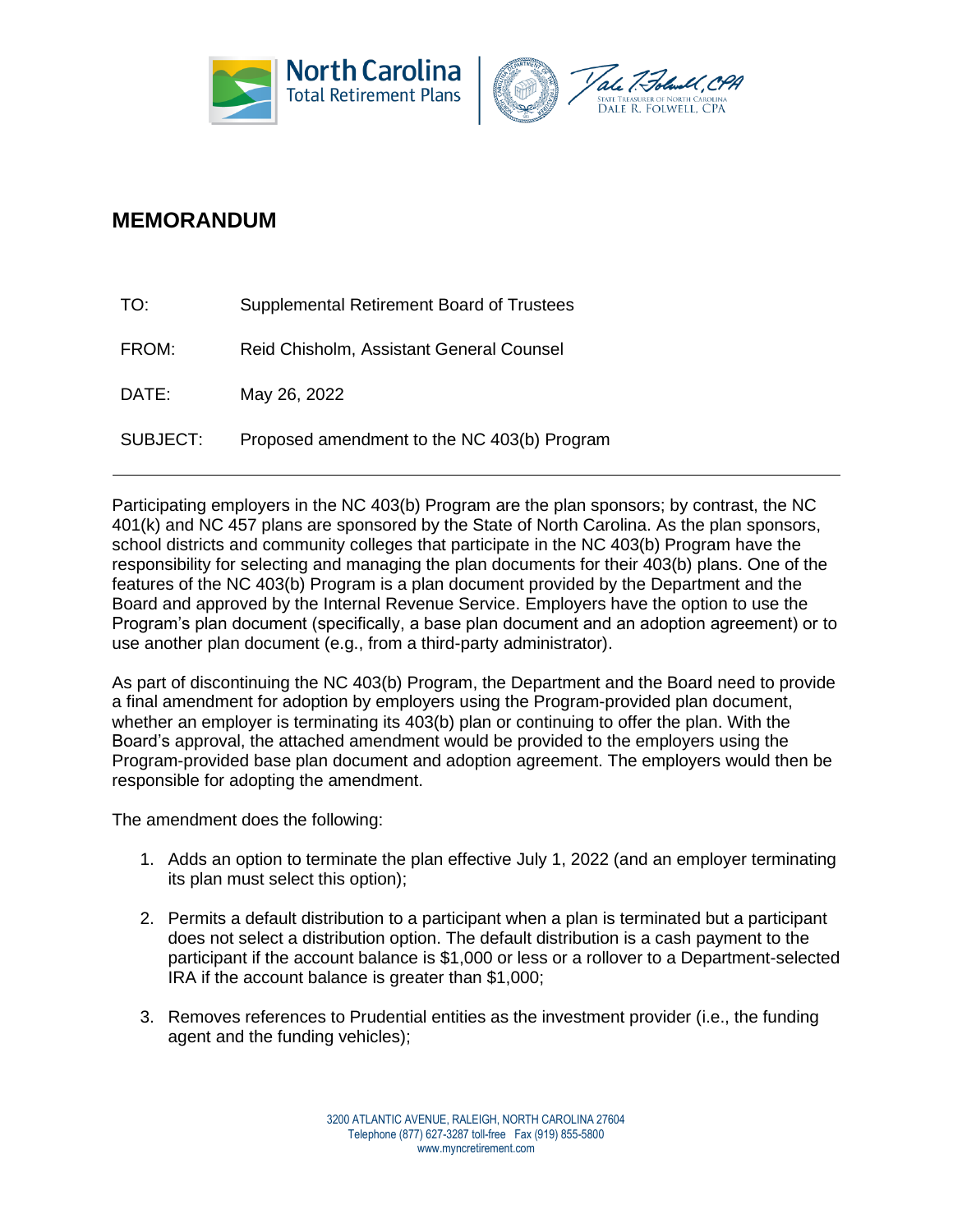



# **MEMORANDUM**

| TO:      | Supplemental Retirement Board of Trustees   |
|----------|---------------------------------------------|
| FROM:    | Reid Chisholm, Assistant General Counsel    |
| DATE:    | May 26, 2022                                |
| SUBJECT: | Proposed amendment to the NC 403(b) Program |

Participating employers in the NC 403(b) Program are the plan sponsors; by contrast, the NC 401(k) and NC 457 plans are sponsored by the State of North Carolina. As the plan sponsors, school districts and community colleges that participate in the NC 403(b) Program have the responsibility for selecting and managing the plan documents for their 403(b) plans. One of the features of the NC 403(b) Program is a plan document provided by the Department and the Board and approved by the Internal Revenue Service. Employers have the option to use the Program's plan document (specifically, a base plan document and an adoption agreement) or to use another plan document (e.g., from a third-party administrator).

As part of discontinuing the NC 403(b) Program, the Department and the Board need to provide a final amendment for adoption by employers using the Program-provided plan document, whether an employer is terminating its 403(b) plan or continuing to offer the plan. With the Board's approval, the attached amendment would be provided to the employers using the Program-provided base plan document and adoption agreement. The employers would then be responsible for adopting the amendment.

The amendment does the following:

- 1. Adds an option to terminate the plan effective July 1, 2022 (and an employer terminating its plan must select this option);
- 2. Permits a default distribution to a participant when a plan is terminated but a participant does not select a distribution option. The default distribution is a cash payment to the participant if the account balance is \$1,000 or less or a rollover to a Department-selected IRA if the account balance is greater than \$1,000;
- 3. Removes references to Prudential entities as the investment provider (i.e., the funding agent and the funding vehicles);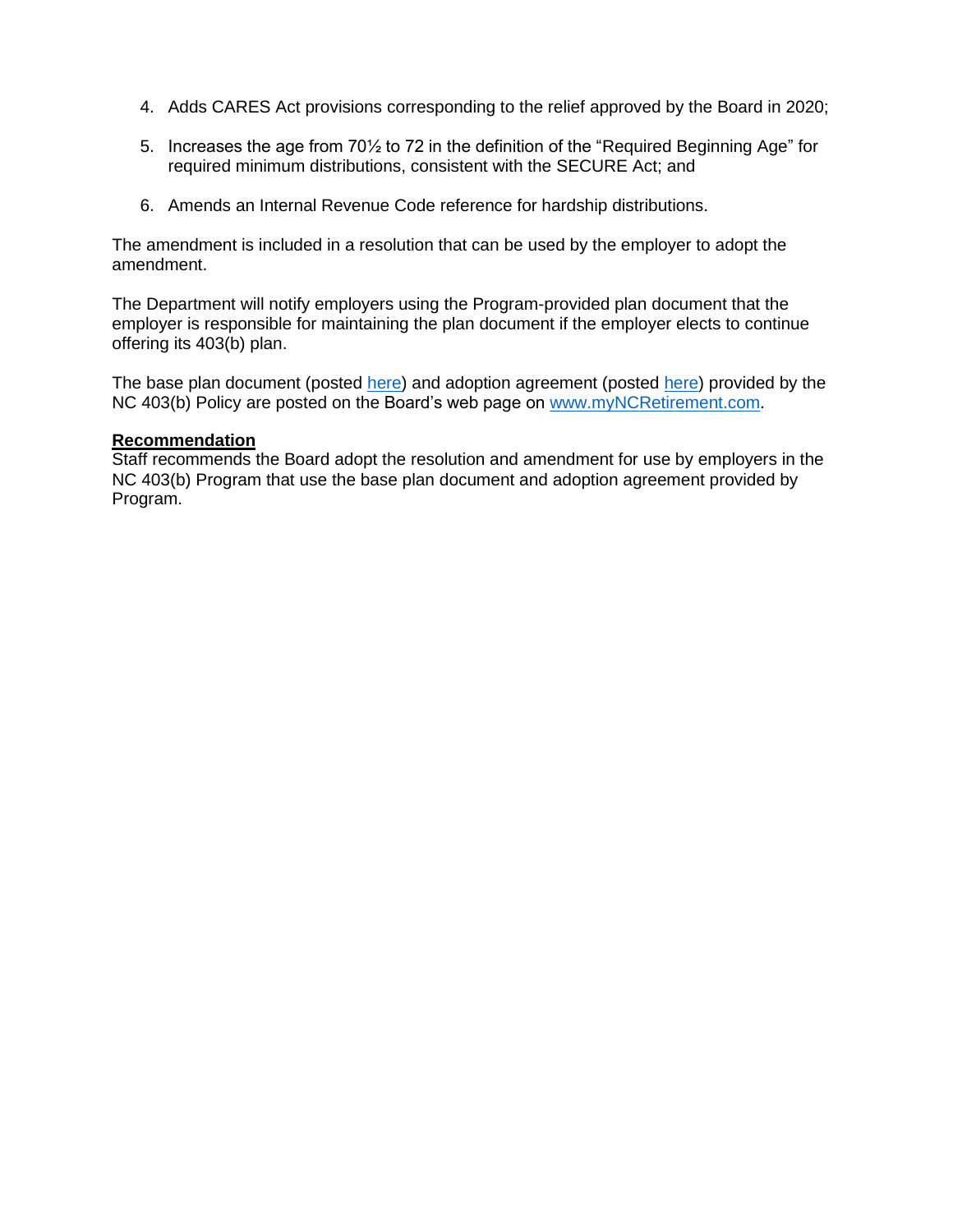- 4. Adds CARES Act provisions corresponding to the relief approved by the Board in 2020;
- 5. Increases the age from 70½ to 72 in the definition of the "Required Beginning Age" for required minimum distributions, consistent with the SECURE Act; and
- 6. Amends an Internal Revenue Code reference for hardship distributions.

The amendment is included in a resolution that can be used by the employer to adopt the amendment.

The Department will notify employers using the Program-provided plan document that the employer is responsible for maintaining the plan document if the employer elects to continue offering its 403(b) plan.

The base plan document (posted [here\)](https://www.myncretirement.com/media/1963/download) and adoption agreement (posted here) provided by the NC 403(b) Policy are posted on the Board's web page on [www.myNCRetirement.com.](http://www.myncretirement.com/)

### **Recommendation**

Staff recommends the Board adopt the resolution and amendment for use by employers in the NC 403(b) Program that use the base plan document and adoption agreement provided by Program.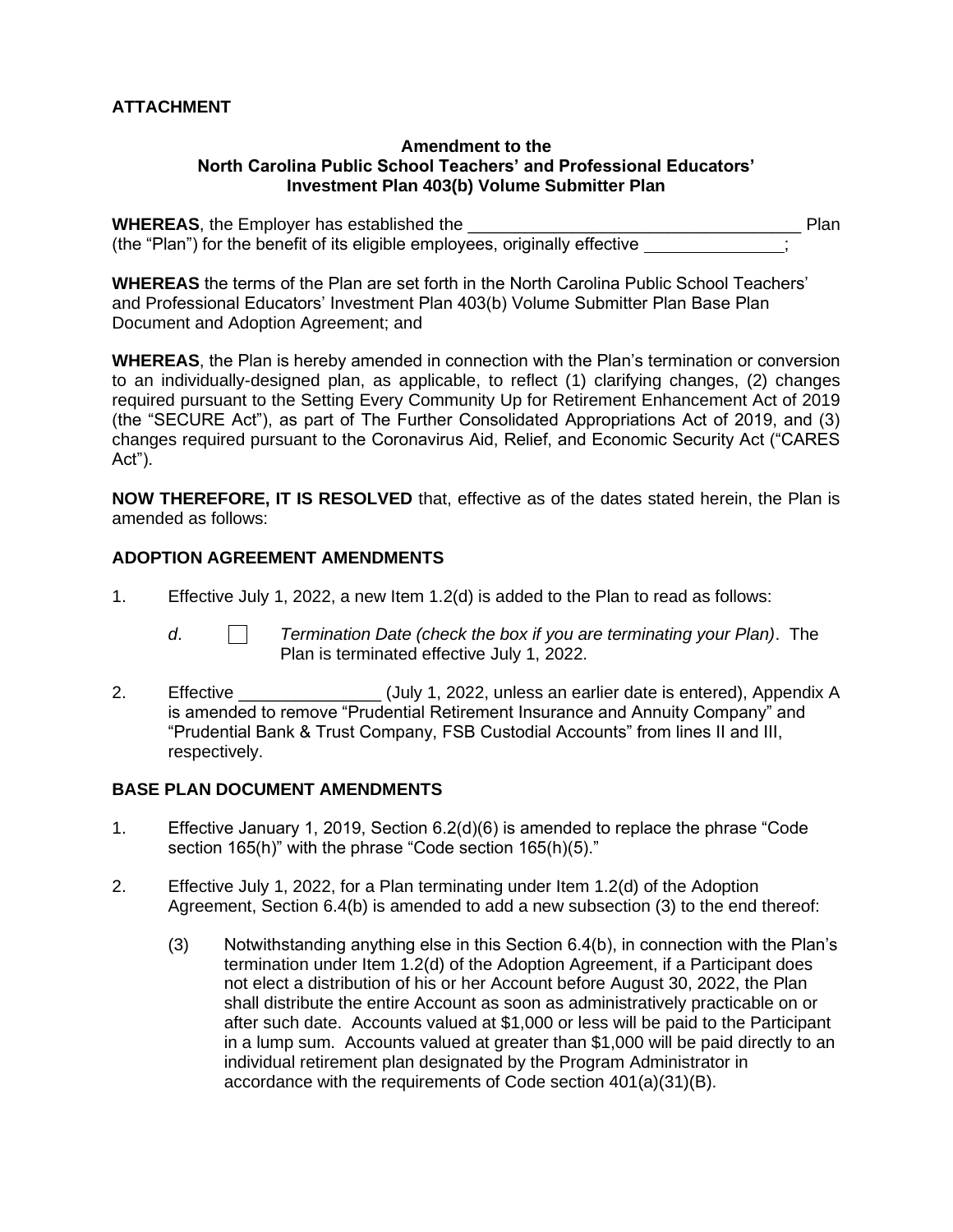## **ATTACHMENT**

#### **Amendment to the North Carolina Public School Teachers' and Professional Educators' Investment Plan 403(b) Volume Submitter Plan**

**WHEREAS**, the Employer has established the **Example 2008** Plan (the "Plan") for the benefit of its eligible employees, originally effective ;

**WHEREAS** the terms of the Plan are set forth in the North Carolina Public School Teachers' and Professional Educators' Investment Plan 403(b) Volume Submitter Plan Base Plan Document and Adoption Agreement; and

**WHEREAS**, the Plan is hereby amended in connection with the Plan's termination or conversion to an individually-designed plan, as applicable, to reflect (1) clarifying changes, (2) changes required pursuant to the Setting Every Community Up for Retirement Enhancement Act of 2019 (the "SECURE Act"), as part of The Further Consolidated Appropriations Act of 2019, and (3) changes required pursuant to the Coronavirus Aid, Relief, and Economic Security Act ("CARES Act").

**NOW THEREFORE, IT IS RESOLVED** that, effective as of the dates stated herein, the Plan is amended as follows:

## **ADOPTION AGREEMENT AMENDMENTS**

1. Effective July 1, 2022, a new Item 1.2(d) is added to the Plan to read as follows:

- *d*. *Termination Date (check the box if you are terminating your Plan)*. The Plan is terminated effective July 1, 2022.
- 2. Effective **Elective** (July 1, 2022, unless an earlier date is entered), Appendix A is amended to remove "Prudential Retirement Insurance and Annuity Company" and "Prudential Bank & Trust Company, FSB Custodial Accounts" from lines II and III, respectively.

# **BASE PLAN DOCUMENT AMENDMENTS**

- 1. Effective January 1, 2019, Section 6.2(d)(6) is amended to replace the phrase "Code section 165(h)" with the phrase "Code section 165(h)(5)."
- 2. Effective July 1, 2022, for a Plan terminating under Item 1.2(d) of the Adoption Agreement, Section 6.4(b) is amended to add a new subsection (3) to the end thereof:
	- (3) Notwithstanding anything else in this Section 6.4(b), in connection with the Plan's termination under Item 1.2(d) of the Adoption Agreement, if a Participant does not elect a distribution of his or her Account before August 30, 2022, the Plan shall distribute the entire Account as soon as administratively practicable on or after such date. Accounts valued at \$1,000 or less will be paid to the Participant in a lump sum. Accounts valued at greater than \$1,000 will be paid directly to an individual retirement plan designated by the Program Administrator in accordance with the requirements of Code section 401(a)(31)(B).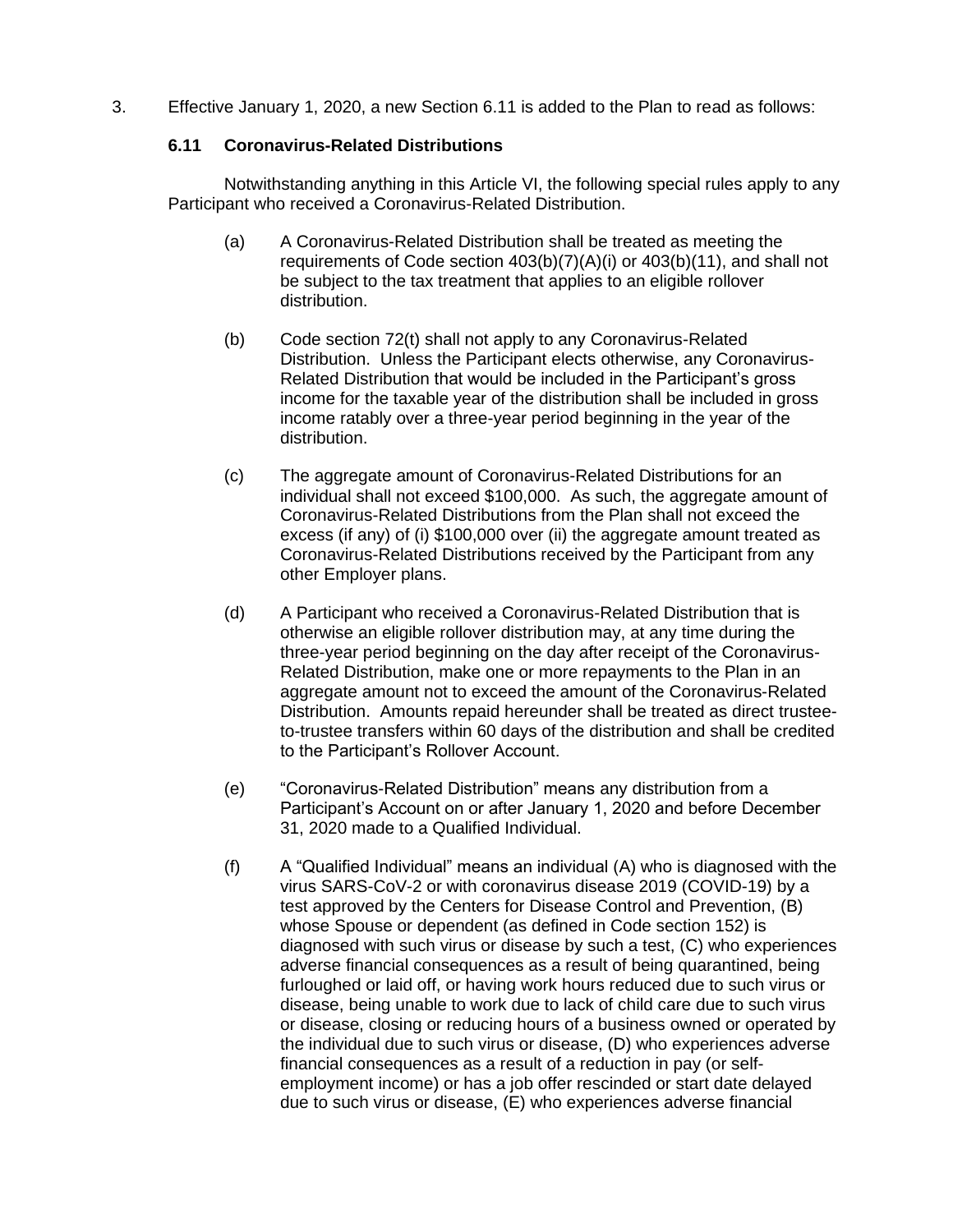3. Effective January 1, 2020, a new Section 6.11 is added to the Plan to read as follows:

# **6.11 Coronavirus-Related Distributions**

Notwithstanding anything in this Article VI, the following special rules apply to any Participant who received a Coronavirus-Related Distribution.

- (a) A Coronavirus-Related Distribution shall be treated as meeting the requirements of Code section 403(b)(7)(A)(i) or 403(b)(11), and shall not be subject to the tax treatment that applies to an eligible rollover distribution.
- (b) Code section 72(t) shall not apply to any Coronavirus-Related Distribution. Unless the Participant elects otherwise, any Coronavirus-Related Distribution that would be included in the Participant's gross income for the taxable year of the distribution shall be included in gross income ratably over a three-year period beginning in the year of the distribution.
- (c) The aggregate amount of Coronavirus-Related Distributions for an individual shall not exceed \$100,000. As such, the aggregate amount of Coronavirus-Related Distributions from the Plan shall not exceed the excess (if any) of (i) \$100,000 over (ii) the aggregate amount treated as Coronavirus-Related Distributions received by the Participant from any other Employer plans.
- (d) A Participant who received a Coronavirus-Related Distribution that is otherwise an eligible rollover distribution may, at any time during the three-year period beginning on the day after receipt of the Coronavirus-Related Distribution, make one or more repayments to the Plan in an aggregate amount not to exceed the amount of the Coronavirus-Related Distribution. Amounts repaid hereunder shall be treated as direct trusteeto-trustee transfers within 60 days of the distribution and shall be credited to the Participant's Rollover Account.
- (e) "Coronavirus-Related Distribution" means any distribution from a Participant's Account on or after January 1, 2020 and before December 31, 2020 made to a Qualified Individual.
- (f) A "Qualified Individual" means an individual (A) who is diagnosed with the virus SARS-CoV-2 or with coronavirus disease 2019 (COVID-19) by a test approved by the Centers for Disease Control and Prevention, (B) whose Spouse or dependent (as defined in Code section 152) is diagnosed with such virus or disease by such a test, (C) who experiences adverse financial consequences as a result of being quarantined, being furloughed or laid off, or having work hours reduced due to such virus or disease, being unable to work due to lack of child care due to such virus or disease, closing or reducing hours of a business owned or operated by the individual due to such virus or disease, (D) who experiences adverse financial consequences as a result of a reduction in pay (or selfemployment income) or has a job offer rescinded or start date delayed due to such virus or disease, (E) who experiences adverse financial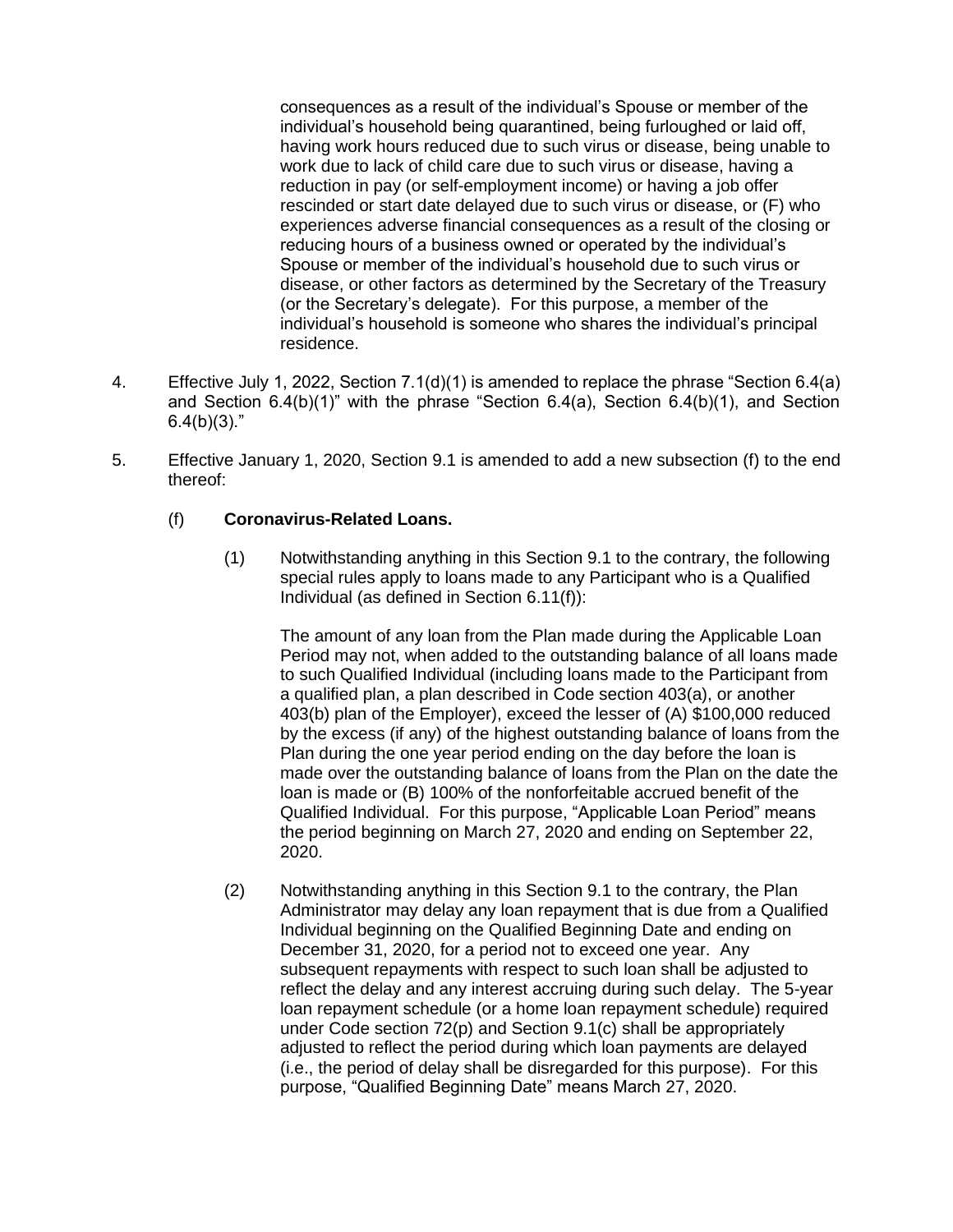consequences as a result of the individual's Spouse or member of the individual's household being quarantined, being furloughed or laid off, having work hours reduced due to such virus or disease, being unable to work due to lack of child care due to such virus or disease, having a reduction in pay (or self-employment income) or having a job offer rescinded or start date delayed due to such virus or disease, or (F) who experiences adverse financial consequences as a result of the closing or reducing hours of a business owned or operated by the individual's Spouse or member of the individual's household due to such virus or disease, or other factors as determined by the Secretary of the Treasury (or the Secretary's delegate). For this purpose, a member of the individual's household is someone who shares the individual's principal residence.

- 4. Effective July 1, 2022, Section 7.1(d)(1) is amended to replace the phrase "Section 6.4(a) and Section 6.4(b)(1)" with the phrase "Section 6.4(a), Section 6.4(b)(1), and Section  $6.4(b)(3)$ ."
- 5. Effective January 1, 2020, Section 9.1 is amended to add a new subsection (f) to the end thereof:

## (f) **Coronavirus-Related Loans.**

(1) Notwithstanding anything in this Section 9.1 to the contrary, the following special rules apply to loans made to any Participant who is a Qualified Individual (as defined in Section 6.11(f)):

The amount of any loan from the Plan made during the Applicable Loan Period may not, when added to the outstanding balance of all loans made to such Qualified Individual (including loans made to the Participant from a qualified plan, a plan described in Code section 403(a), or another 403(b) plan of the Employer), exceed the lesser of (A) \$100,000 reduced by the excess (if any) of the highest outstanding balance of loans from the Plan during the one year period ending on the day before the loan is made over the outstanding balance of loans from the Plan on the date the loan is made or (B) 100% of the nonforfeitable accrued benefit of the Qualified Individual. For this purpose, "Applicable Loan Period" means the period beginning on March 27, 2020 and ending on September 22, 2020.

(2) Notwithstanding anything in this Section 9.1 to the contrary, the Plan Administrator may delay any loan repayment that is due from a Qualified Individual beginning on the Qualified Beginning Date and ending on December 31, 2020, for a period not to exceed one year. Any subsequent repayments with respect to such loan shall be adjusted to reflect the delay and any interest accruing during such delay. The 5-year loan repayment schedule (or a home loan repayment schedule) required under Code section 72(p) and Section 9.1(c) shall be appropriately adjusted to reflect the period during which loan payments are delayed (i.e., the period of delay shall be disregarded for this purpose). For this purpose, "Qualified Beginning Date" means March 27, 2020.